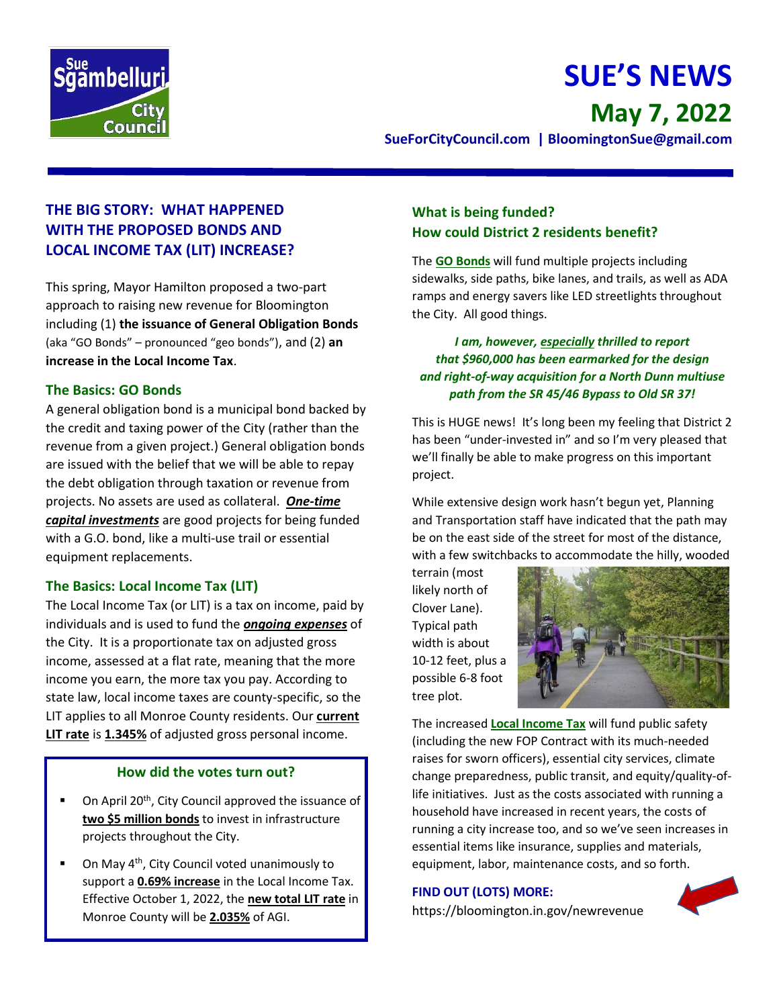

# **SUE'S NEWS May 7, 2022**

**SueForCityCouncil.com | BloomingtonSue@gmail.com** 

## **THE BIG STORY: WHAT HAPPENED WITH THE PROPOSED BONDS AND LOCAL INCOME TAX (LIT) INCREASE?**

This spring, Mayor Hamilton proposed a two-part approach to raising new revenue for Bloomington including (1) **the issuance of General Obligation Bonds** (aka "GO Bonds" – pronounced "geo bonds"), and (2) **an increase in the Local Income Tax**.

## **The Basics: GO Bonds**

A general obligation bond is a municipal bond backed by the credit and taxing power of the City (rather than the revenue from a given project.) General obligation bonds are issued with the belief that we will be able to repay the debt obligation through taxation or revenue from projects. No assets are used as collateral. *One-time capital investments* are good projects for being funded with a G.O. bond, like a multi-use trail or essential equipment replacements.

## **The Basics: Local Income Tax (LIT)**

The Local Income Tax (or LIT) is a tax on income, paid by individuals and is used to fund the *ongoing expenses* of the City. It is a proportionate tax on adjusted gross income, assessed at a flat rate, meaning that the more income you earn, the more tax you pay. According to state law, local income taxes are county-specific, so the LIT applies to all Monroe County residents. Our **current LIT rate** is **1.345%** of adjusted gross personal income.

### **How did the votes turn out?**

- On April 20<sup>th</sup>, City Council approved the issuance of **two \$5 million bonds** to invest in infrastructure projects throughout the City.
- On May 4<sup>th</sup>, City Council voted unanimously to support a **0.69% increase** in the Local Income Tax. Effective October 1, 2022, the **new total LIT rate** in Monroe County will be **2.035%** of AGI.

## **What is being funded? How could District 2 residents benefit?**

The **GO Bonds** will fund multiple projects including sidewalks, side paths, bike lanes, and trails, as well as ADA ramps and energy savers like LED streetlights throughout the City. All good things.

## *I am, however, especially thrilled to report that \$960,000 has been earmarked for the design and right-of-way acquisition for a North Dunn multiuse path from the SR 45/46 Bypass to Old SR 37!*

This is HUGE news! It's long been my feeling that District 2 has been "under-invested in" and so I'm very pleased that we'll finally be able to make progress on this important project.

While extensive design work hasn't begun yet, Planning and Transportation staff have indicated that the path may be on the east side of the street for most of the distance, with a few switchbacks to accommodate the hilly, wooded

terrain (most likely north of Clover Lane). Typical path width is about 10-12 feet, plus a possible 6-8 foot tree plot.



The increased **Local Income Tax** will fund public safety (including the new FOP Contract with its much-needed raises for sworn officers), essential city services, climate change preparedness, public transit, and equity/quality-oflife initiatives. Just as the costs associated with running a household have increased in recent years, the costs of running a city increase too, and so we've seen increases in essential items like insurance, supplies and materials, equipment, labor, maintenance costs, and so forth.

## **FIND OUT (LOTS) MORE:**

https://bloomington.in.gov/newrevenue